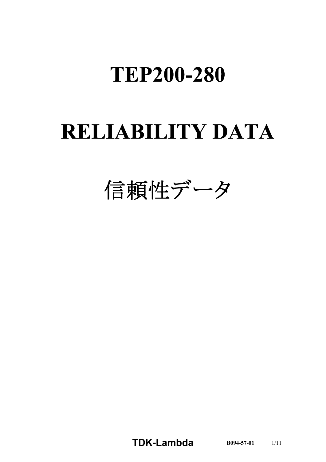## **TEP200-280**

# **RELIABILITY DATA**

信頼性データ

**TDK-Lambda B094-57-01** 1/11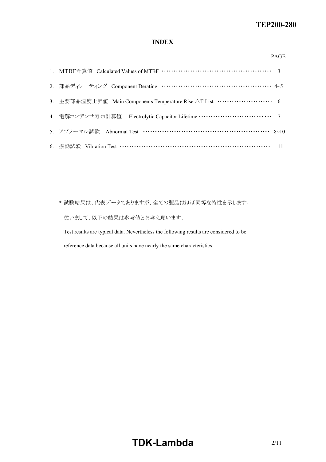#### *RWS 50B600B Series* **TEP200280**

## **INDEX**

#### PAGE

| 2. 部品ディレーティング Component Derating …………………………………………… 4~5                           |
|----------------------------------------------------------------------------------|
| 3. 主要部品温度上昇值 Main Components Temperature Rise △T List ························ 6 |
|                                                                                  |
| 5. アブノーマル試験 Abnormal Test …………………………………………………… 8~10                              |
| 6. 振動試験 Vibration Test ……………………………………………………………… 11                               |

\* 試験結果は、代表データでありますが、全ての製品はほぼ同等な特性を示します。 従いまして、以下の結果は参考値とお考え願います。

Test results are typical data. Nevertheless the following results are considered to be reference data because all units have nearly the same characteristics.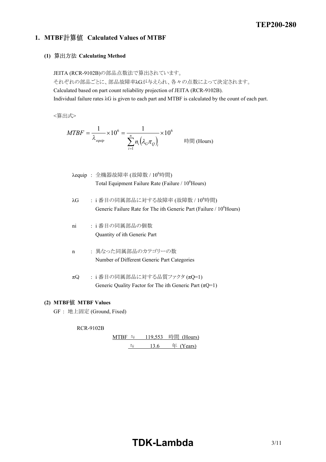## **1. MTBF Calculated Values of MTBF**

## **(1) Calculating Method**

JEITA (RCR-9102B)の部品点数法で算出されています。

それぞれの部品ごとに、部品故障率λGが与えられ、各々の点数によって決定されます。

Calculated based on part count reliability projection of JEITA (RCR-9102B). Individual failure rates λG is given to each part and MTBF is calculated by the count of each part.

<算出式>

$$
MTBF = \frac{1}{\lambda_{\text{equip}}} \times 10^6 = \frac{1}{\sum_{i=1}^n n_i (\lambda_{\text{c}} \pi_{\text{c}})_i} \times 10^6
$$
 \n
$$
\text{Hill (Hours)}
$$

 $\lambda$ equip : 全機器故障率 (故障数 /  $10^6$ 時間) Total Equipment Failure Rate (Failure / 10<sup>6</sup>Hours)

- $\lambda$ G : i 番目の同属部品に対する故障率 (故障数 / 10<sup>6</sup>時間) Generic Failure Rate for The ith Generic Part (Failure / 10<sup>6</sup>Hours)
- ni : i 番目の同属部品の個数 Quantity of ith Generic Part
- n : 異なった同属部品のカテゴリーの数 Number of Different Generic Part Categories
- $\pi Q$  : i 番目の同属部品に対する品質ファクタ ( $\pi Q$ =1) Generic Quality Factor for The ith Generic Part  $(\pi Q=1)$

### **(2) MTBF MTBF Values**

GF : 地上固定 (Ground, Fixed)

**RCR-9102B** 

 $MTBF$  ≒ 119,553 時間 (Hours)  $\div$  13.6 年 (Years)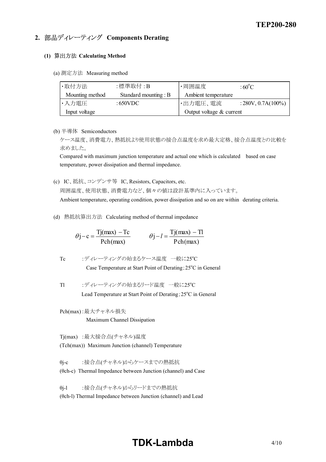## **2. 部品ディレーティング Components Derating**

### **(1) Calculating Method**

(a) 測定方法 Measuring method

| ·取付方法           | :標準取付 : B             | ・周囲温度                      | $:60^{\circ}$ C       |
|-----------------|-----------------------|----------------------------|-----------------------|
| Mounting method | Standard mounting : B | Ambient temperature        |                       |
| ・入力電圧           | : $650VDC$            | ・出力電圧、電流                   | $: 280V, 0.7A(100\%)$ |
| Input voltage   |                       | Output voltage $&$ current |                       |

(b) 半導体 Semiconductors

ケース温度、消費電力、熱抵抗より使用状態の接合点温度を求め最大定格、接合点温度との比較を 求めました。

Compared with maximum junction temperature and actual one which is calculated based on case temperature, power dissipation and thermal impedance.

(c) IC、抵抗、コンデンサ等 IC, Resistors, Capacitors, etc. 周囲温度、使用状態、消費電力など、個々の値は設計基準内に入っています。

Ambient temperature, operating condition, power dissipation and so on are within derating criteria.

(d) 熱抵抗算出方法 Calculating method of thermal impedance

$$
\theta j - c = \frac{Tj(max) - Tc}{Pch(max)} \qquad \theta j - l = \frac{Tj(max) - Tl}{Pch(max)}
$$

\n
$$
\text{Tc} \quad \text{:\n } \vec{\mathcal{T}} \cdot \vec{\mathcal{L}} \cdot \vec{\mathcal{T}} \cdot \vec{\mathcal{T}} \cdot \vec{\mathcal{L}} \cdot \vec{\mathcal{T}} \cdot \vec{\mathcal{L}} \cdot \vec{\mathcal{L}} \cdot \vec{\mathcal{L}} \cdot \vec{\mathcal{L}} \cdot \vec{\mathcal{L}} \cdot \vec{\mathcal{L}} \cdot \vec{\mathcal{L}} \cdot \vec{\mathcal{L}} \cdot \vec{\mathcal{L}} \cdot \vec{\mathcal{L}} \cdot \vec{\mathcal{L}} \cdot \vec{\mathcal{L}} \cdot \vec{\mathcal{L}} \cdot \vec{\mathcal{L}} \cdot \vec{\mathcal{L}} \cdot \vec{\mathcal{L}} \cdot \vec{\mathcal{L}} \cdot \vec{\mathcal{L}} \cdot \vec{\mathcal{L}} \cdot \vec{\mathcal{L}} \cdot \vec{\mathcal{L}} \cdot \vec{\mathcal{L}} \cdot \vec{\mathcal{L}} \cdot \vec{\mathcal{L}} \cdot \vec{\mathcal{L}} \cdot \vec{\mathcal{L}} \cdot \vec{\mathcal{L}} \cdot \vec{\mathcal{L}} \cdot \vec{\mathcal{L}} \cdot \vec{\mathcal{L}} \cdot \vec{\mathcal{L}} \cdot \vec{\mathcal{L}} \cdot \vec{\mathcal{L}} \cdot \vec{\mathcal{L}} \cdot \vec{\mathcal{L}} \cdot \vec{\mathcal{L}} \cdot \vec{\mathcal{L}} \cdot \vec{\mathcal{L}} \cdot \vec{\mathcal{L}} \cdot \vec{\mathcal{L}} \cdot \vec{\mathcal{L}} \cdot \vec{\mathcal{L}} \cdot \vec{\mathcal{L}} \cdot \vec{\mathcal{L}} \cdot \vec{\mathcal{L}} \cdot \vec{\mathcal{L}} \cdot \vec{\mathcal{L}} \cdot \vec{\mathcal{L}} \cdot \vec{\mathcal{L}} \cdot \vec{\mathcal{L}} \cdot \vec{\mathcal{L}} \cdot \vec{\mathcal{L}} \cdot \vec{\mathcal{L}} \cdot \vec{\mathcal{L}} \cdot \vec{\mathcal{L}} \cdot \vec{\mathcal{L}} \cdot \vec{\mathcal{L}} \cdot \vec{\mathcal{L}} \cdot \vec{\mathcal{L}} \cdot \vec{\mathcal{L}} \cdot \vec{\mathcal{L}} \cdot \vec{\mathcal{L}} \cdot \vec{\mathcal{L}} \cdot \vec{\mathcal{L}} \cdot \vec{\mathcal{L}} \cdot \vec{\mathcal{L}} \cdot \vec{\mathcal{L}} \cdot \vec{\mathcal{L}} \cdot \vec{\mathcal{L
$$

Tl :ディレーティングの始まるリード温度 一般に25°C Lead Temperature at Start Point of Derating; 25°C in General

Pch(max):最大チャネル損失 Maximum Channel Dissipation

Tj(max) :最大接合点(チャネル)温度 (Tch(max)) Maximum Junction (channel) Temperature

θi-c :接合点(チャネル)からケースまでの熱抵抗  $(\theta$ ch-c) Thermal Impedance between Junction (channel) and Case

θi-l :接合点(チャネル)からリードまでの熱抵抗 (θch-l) Thermal Impedance between Junction (channel) and Lead

## **TDK-Lambda**  $4/10$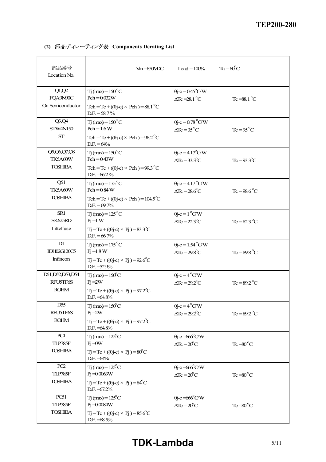| 部品番号<br>Location No.                     | $V_{in} = 650 VDC$                                                                                       | Load = $100%$                                                             | $Ta = 60^{\circ}C$ |
|------------------------------------------|----------------------------------------------------------------------------------------------------------|---------------------------------------------------------------------------|--------------------|
| Q1,Q2<br>FQA9N90C<br>On Semiconductor    | $Ti$ (max) = 150 °C<br>$Pch = 0.032W$<br>Tch = Tc + $((\theta$ j-c) × Pch) = 88.1 °C                     | $\theta$ j-c = 0.45 <sup>°</sup> C/W<br>$\Delta Tc = 28.1$ <sup>o</sup> C | $Tc = 88.1$ °C     |
|                                          | $DF = 58.7\%$                                                                                            |                                                                           |                    |
| Q3,Q4<br><b>STW4N150</b>                 | $T_1$ (max) = 150 °C<br>$Pch = 1.6 W$                                                                    | $\theta$ j-c = 0.78 $\degree$ C/W<br>$\Delta Tc = 35^{\circ}C$            | $Tc = 95^{\circ}C$ |
| <b>ST</b>                                | Tch = Tc + $((\theta \cdot c) \times$ Pch $) = 96.2^{\circ}C$<br>$DF = 64%$                              |                                                                           |                    |
| Q5,Q6,Q7,Q8<br>TK5A60W                   | $Ti$ (max) = 150 °C<br>$Pch = 0.43W$                                                                     | $\theta$ j-c = 4.17 <sup>°</sup> C/W<br>$\Delta Tc = 33.3^{\circ}C$       | $Tc = 93.3$ °C     |
| <b>TOSHIBA</b>                           | Tch = Tc + $((\theta \cdot c) \times$ Pch) = 99.3 °C<br>D.F. $=66.2\%$                                   |                                                                           |                    |
| Q51<br>TK5A60W                           | $Ti$ (max) = 175 <sup>°</sup> C<br>$Pch = 0.84 W$                                                        | $\theta$ i-c = 4.17 <sup>°</sup> C/W<br>$\Delta Tc = 28.6^{\circ}C$       | $Tc = 98.6$ °C     |
| <b>TOSHIBA</b>                           | Tch = Tc + $((\theta$ j-c) × Pch) = $104.5^{\circ}$ C<br>$DF = 69.7%$                                    |                                                                           |                    |
| SR1<br>SK625RD                           | $Tj$ (max) = 125 °C<br>$Pi=1$ W                                                                          | $\theta$ j-c = 1 <sup>o</sup> C/W<br>$\Delta Tc = 22.3^{\circ}C$          | $Tc = 82.3$ °C     |
| Littelfuse                               | $Tj = Tc + ((\theta j - c) \times Pj) = 83.3^{\circ}C$<br>$DF = 66.7%$                                   |                                                                           |                    |
| D1<br><b>IDH02G120C5</b>                 | $T_1$ (max) = 175 <sup>°</sup> C<br>$Pi = 1.8 W$                                                         | $\theta$ j-c = 1.54 <sup>°</sup> C/W<br>$\Delta Tc = 29.8$ °C             | $Tc = 89.8$ °C     |
| Infineon                                 | $Tj = Tc + ((\theta j-c) \times Pj) = 92.6^{\circ}C$<br>$DF = 52.9%$                                     |                                                                           |                    |
| D51, D52, D53, D54<br><b>RFUSTF6S</b>    | $Tj$ (max) = $150^{\circ}$ C<br>$Pi = 2W$                                                                | $\theta$ j-c = 4 <sup>°</sup> C/W<br>$\Delta Tc = 29.2^{\circ}C$          | $Tc = 89.2$ °C     |
| <b>ROHM</b>                              | $T_1 = T_c + ((\theta i - c) \times P_1) = 97.2^{\circ}C$<br>$DF. = 64.8\%$                              |                                                                           |                    |
| D <sub>55</sub><br>RFU5TF6S              | $Ti$ (max) = $150^{\circ}$ C<br>$Pi = 2W$                                                                | $\theta$ j-c = 4 <sup>°</sup> C/W<br>$\Delta Tc = 29.2$ °C                | $Tc = 89.2$ °C     |
| <b>ROHM</b>                              | $Tj = Tc + ((\theta j - c) \times Pj) = 97.2^{\circ}C$<br>D.F. = 64.8%                                   |                                                                           |                    |
| PC1<br>TLP785F                           | $Tj$ (max) = $125^{\circ}$ C<br>$Pi = 0W$                                                                | $\theta$ j-c =666 $\degree$ C/W<br>$\Delta Tc = 20^{\circ}C$              | $Tc = 80^{\circ}C$ |
| <b>TOSHIBA</b>                           | $Tj = Tc + ((\theta j - c) \times Pj) = 80^{\circ}C$<br>$DF = 64%$                                       |                                                                           |                    |
| PC2<br>TLP785F                           | $T_1$ (max) = 125 <sup>°</sup> C<br>$Pi = 0.0063W$                                                       | $\theta$ j-c =666 $\degree$ C/W<br>$\Delta Tc = 20^{\circ}C$              | $Tc = 80^{\circ}C$ |
| <b>TOSHIBA</b>                           | $Tj = Tc + ((\theta j - c) \times Pj) = 84^{\circ}C$<br>D.F. = 67.2%                                     |                                                                           |                    |
| <b>PC51</b><br>TLP785F<br><b>TOSHIBA</b> | $Ti$ (max) = $125^{\circ}$ C<br>$Pi = 0.0084W$<br>$Tj = Tc + ((\theta j - c) \times Pj) = 85.6^{\circ}C$ | $\theta$ j-c =666°C/W<br>$\Delta Tc = 20^{\circ}C$                        | $Tc = 80^{\circ}C$ |
|                                          | $DF. = 68.5\%$                                                                                           |                                                                           |                    |

**(2) 部品ディレーティング表 Components Derating List**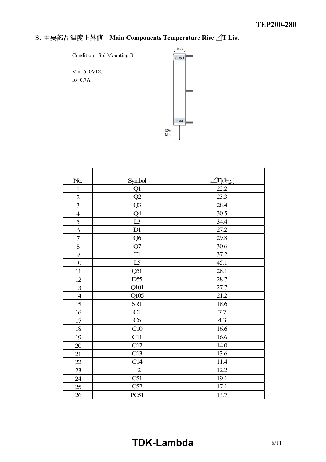## **Main Components Temperature Rise**  $\angle$ **T List**

Condition : Std Mounting B

Vin=650VDC Io=0.7A



| No.                      | Symbol          | ∭deg] |
|--------------------------|-----------------|-------|
| $\mathbf{1}$             | Q1              | 22.2  |
| $\overline{c}$           | Q2              | 23.3  |
| $\overline{\mathbf{3}}$  | Q3              | 28.4  |
| $\overline{\mathcal{A}}$ | Q4              | 30.5  |
| 5                        | L3              | 34.4  |
| 6                        | D1              | 27.2  |
| $\boldsymbol{7}$         | Q <sub>6</sub>  | 29.8  |
| 8                        | Q7              | 30.6  |
| 9                        | T <sub>1</sub>  | 37.2  |
| 10                       | L5              | 45.1  |
| 11                       | Q51             | 28.1  |
| 12                       | D <sub>55</sub> | 28.7  |
| 13                       | Q101            | 27.7  |
| 14                       | Q105            | 21.2  |
| 15                       | SR1             | 18.6  |
| 16                       | C1              | 7.7   |
| 17                       | C6              | 4.3   |
| 18                       | C10             | 16.6  |
| 19                       | C11             | 16.6  |
| 20                       | C12             | 14.0  |
| 21                       | C13             | 13.6  |
| 22                       | C14             | 11.4  |
| 23                       | T2              | 12.2  |
| 24                       | C51             | 19.1  |
| 25                       | C52             | 17.1  |
| 26                       | <b>PC51</b>     | 13.7  |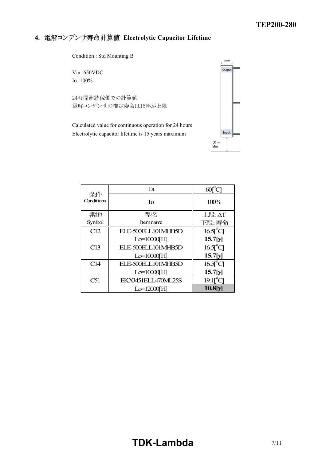## **4. Electrolytic Capacitor Lifetime**

Condition : Std Mounting B

Vin=650VDC Io=100%

24時間連続稼働での計算値 電解コンデンサの推定寿命は15年が上限

Calculated value for continuous operation for 24 hours Electrolytic capacitor lifetime is 15 years maximum



|                  | Ta                 | $60^\circ$                      |
|------------------|--------------------|---------------------------------|
| 条件<br>Conditions | Ιo                 | 100%                            |
| 番地               | 型名                 | $E$ 段: $\Delta T$               |
| Symbol           | Itemname           | 下段:寿命                           |
| C12              | ELE-500ELL101MHB5D | $16.5$ <sup>°</sup> C           |
|                  | $Lo=10000[H]$      | 15.7[y]                         |
| C13              | ELE-500ELL101MHB5D | $16.5$ <sup>°</sup> C           |
|                  | $Lo=10000[H]$      | 15.7[y]                         |
| C14              | ELE-500ELL101MHB5D | $16.5$ <sup>°</sup> C           |
|                  | $Lo=10000[H]$      | 15.7[y]                         |
| C51              | EKXJ451ELL470ML25S | $19.1\text{T}^{\circ}\text{Cl}$ |
|                  | $Lo=12000[H]$      | 10.8[y]                         |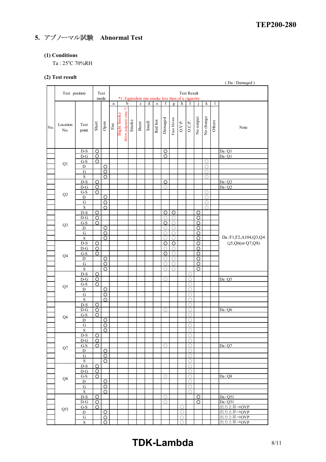## **5. アブノーマル試験 Abnormal Test**

### **(1) Conditions**

Ta:  $25^{\circ}$ C 70%RH

## **(2) Test result**

|     | $-7$ - $    -$ |                            |                |                              |                       |                         |                                                        |             |                |         |                |                                   |                |                                   |                    |             |        | (Da: Damaged)       |
|-----|----------------|----------------------------|----------------|------------------------------|-----------------------|-------------------------|--------------------------------------------------------|-------------|----------------|---------|----------------|-----------------------------------|----------------|-----------------------------------|--------------------|-------------|--------|---------------------|
|     |                |                            |                |                              |                       |                         |                                                        |             |                |         |                |                                   |                |                                   |                    |             |        |                     |
|     | Test position  |                            |                | Test                         |                       |                         |                                                        |             |                |         |                |                                   |                | <b>Test Result</b>                |                    |             |        |                     |
|     |                |                            |                | mode                         | $\rm{a}$              |                         | *1: Equivalent one smoke less than of a cigarette<br>b | $\mathbf c$ | $\overline{d}$ | $\rm e$ | $\overline{f}$ | $\overline{g}$                    | $\overline{h}$ | I                                 |                    | $\mathbf k$ | 1      |                     |
|     |                |                            |                |                              |                       |                         |                                                        |             |                |         |                |                                   |                |                                   |                    |             |        |                     |
|     |                |                            |                |                              |                       |                         |                                                        |             |                |         |                |                                   |                |                                   |                    |             |        |                     |
|     |                |                            |                |                              |                       |                         |                                                        |             |                |         |                |                                   |                |                                   |                    |             |        |                     |
|     | Location       | Test                       |                |                              |                       |                         |                                                        |             |                |         |                |                                   |                |                                   |                    |             |        |                     |
| No. | No.            | point                      | Short          | $\mathop{\rm Open}\nolimits$ | $\operatorname{Fire}$ | Slight Smoke            | Smoke                                                  | Burst       | Smell          | Red hot | Damaged        | Fuse blown                        | O.V.P.         | O.C.P.                            | No output          | No change   | Others | Note                |
|     |                |                            |                |                              |                       | Below judgment value *1 |                                                        |             |                |         |                |                                   |                |                                   |                    |             |        |                     |
|     |                |                            |                |                              |                       |                         |                                                        |             |                |         |                |                                   |                |                                   |                    |             |        |                     |
|     |                |                            |                |                              |                       |                         |                                                        |             |                |         |                |                                   |                |                                   |                    |             |        |                     |
|     |                | D-S                        | O              |                              |                       |                         |                                                        |             |                |         | O              |                                   |                |                                   |                    |             |        | Da:Q1               |
|     |                | $D-G$                      | $\circ$        |                              |                       |                         |                                                        |             |                |         | $\circ$        |                                   |                |                                   |                    |             |        | Da:Q1               |
|     | Q1             | $G-S$                      | Ο              |                              |                       |                         |                                                        |             |                |         |                |                                   |                |                                   |                    | O           |        |                     |
|     |                | $\mathbf D$                |                | $\circ$                      |                       |                         |                                                        |             |                |         |                |                                   |                |                                   |                    | ∩<br>∩      |        |                     |
|     |                | G<br>$\mathbf S$           |                | $\circ$<br>$\circ$           |                       |                         |                                                        |             |                |         |                |                                   |                |                                   |                    | ∩           |        |                     |
|     |                | $D-S$                      | $\overline{O}$ |                              |                       |                         |                                                        |             |                |         | $\circ$        |                                   |                |                                   |                    |             |        | Da:Q2               |
|     |                | $D-G$                      | $\circ$        |                              |                       |                         |                                                        |             |                |         | О              |                                   |                |                                   |                    |             |        | Da:Q2               |
|     |                | $G-S$                      | $\circ$        |                              |                       |                         |                                                        |             |                |         |                |                                   |                |                                   |                    | О           |        |                     |
|     | Q2             | D                          |                | O                            |                       |                         |                                                        |             |                |         |                |                                   |                |                                   |                    | ◯           |        |                     |
|     |                | $\overline{G}$             |                | $\circ$                      |                       |                         |                                                        |             |                |         |                |                                   |                |                                   |                    | $\bigcirc$  |        |                     |
|     |                | $\mathbf S$                |                | O                            |                       |                         |                                                        |             |                |         |                |                                   |                |                                   |                    | ∩           |        |                     |
|     |                | $D-S$                      | $\overline{O}$ |                              |                       |                         |                                                        |             |                |         | $\overline{O}$ | $\circ$                           |                |                                   | $\circ$            |             |        |                     |
|     |                | $D-G$                      | $\circ$        |                              |                       |                         |                                                        |             |                |         | О              | $\circlearrowright$<br>$\bigcirc$ |                |                                   | $\circ$<br>$\circ$ |             |        |                     |
|     | Q <sub>3</sub> | $G-S$<br>$\mathbf{D}$      | $\circ$        | $\overline{O}$               |                       |                         |                                                        |             |                |         | O<br>О         | $\circlearrowright$               |                |                                   | $\overline{\circ}$ |             |        |                     |
|     |                | $\overline{G}$             |                | $\overline{O}$               |                       |                         |                                                        |             |                |         | О              | $\circlearrowright$               |                |                                   | $\circ$            |             |        |                     |
|     |                | $\overline{\mathbf{S}}$    |                | $\circ$                      |                       |                         |                                                        |             |                |         | $\bigcirc$     | $\bigcirc$                        |                |                                   | $\overline{O}$     |             |        | Da:F1,F2,A104,Q3,Q4 |
|     |                | $D-S$                      | O              |                              |                       |                         |                                                        |             |                |         | O              | $\circ$                           |                |                                   | O                  |             |        | Q5,Q6(or Q7,Q8)     |
|     |                | $D-G$                      | $\circ$        |                              |                       |                         |                                                        |             |                |         | O              | $\bigcirc$                        |                |                                   | $\circ$            |             |        |                     |
|     | Q4             | $G-S$                      | O              |                              |                       |                         |                                                        |             |                |         | O<br>О         | $\bigcirc$<br>$\bigcirc$          |                |                                   | O                  |             |        |                     |
|     |                | $\mathbf D$<br>$\mathbf G$ |                | $\circ$<br>$\circ$           |                       |                         |                                                        |             |                |         | О              | ∩                                 |                |                                   | $\circ$<br>O       |             |        |                     |
|     |                | $\mathbf S$                |                | $\circ$                      |                       |                         |                                                        |             |                |         | O              | $\bigcirc$                        |                |                                   | $\circ$            |             |        |                     |
|     |                | $D-S$                      | $\overline{O}$ |                              |                       |                         |                                                        |             |                |         |                |                                   |                | О                                 |                    |             |        |                     |
|     |                | $D-G$                      | $\circ$        |                              |                       |                         |                                                        |             |                |         | $\circ$        |                                   |                | О                                 |                    |             |        | Da:Q5               |
|     | Q <sub>5</sub> | $G-S$                      | $\circ$        |                              |                       |                         |                                                        |             |                |         |                |                                   |                | О                                 |                    |             |        |                     |
|     |                | D<br>$\overline{G}$        |                | $\circ$<br>$\circ$           |                       |                         |                                                        |             |                |         |                |                                   |                | О<br>O                            |                    |             |        |                     |
|     |                | S                          |                | O                            |                       |                         |                                                        |             |                |         |                |                                   |                | O                                 |                    |             |        |                     |
|     |                | $D-S$                      | $\overline{O}$ |                              |                       |                         |                                                        |             |                |         |                |                                   |                | ◯                                 |                    |             |        |                     |
|     |                | $D-G$                      | $\circ$        |                              |                       |                         |                                                        |             |                |         | O              |                                   |                | О                                 |                    |             |        | Da:O6               |
|     | Q <sub>6</sub> | $G-S$                      | O              |                              |                       |                         |                                                        |             |                |         |                |                                   |                | О                                 |                    |             |        |                     |
|     |                | ${\bf D}$                  |                | $\circ$                      |                       |                         |                                                        |             |                |         |                |                                   |                | $\bigcirc$                        |                    |             |        |                     |
|     |                | ${\bf G}$                  |                | $\overline{\circ}$           |                       |                         |                                                        |             |                |         |                |                                   |                | $\bigcirc$                        |                    |             |        |                     |
|     |                | $\mathbf S$                |                | $\circ$                      |                       |                         |                                                        |             |                |         |                |                                   |                | О                                 |                    |             |        |                     |
|     |                | $D-S$<br>$D-G$             | O<br>$\circ$   |                              |                       |                         |                                                        |             |                |         |                |                                   |                | O<br>О                            |                    |             |        |                     |
|     |                | $G-S$                      | O              |                              |                       |                         |                                                        |             |                |         | O              |                                   |                | О                                 |                    |             |        | Da:Q7               |
|     | ${\cal Q}7$    | D                          |                | O                            |                       |                         |                                                        |             |                |         |                |                                   |                | $\bigcirc$                        |                    |             |        |                     |
|     |                | G                          |                | O                            |                       |                         |                                                        |             |                |         |                |                                   |                | О                                 |                    |             |        |                     |
|     |                | $\mathbf S$                |                | O                            |                       |                         |                                                        |             |                |         |                |                                   |                | $\circ$                           |                    |             |        |                     |
|     |                | D-S                        | $\circ$        |                              |                       |                         |                                                        |             |                |         |                |                                   |                | $\circ$                           |                    |             |        |                     |
|     |                | $D-G$                      | <u>O</u>       |                              |                       |                         |                                                        |             |                |         |                |                                   |                | $\bigcirc$                        |                    |             |        |                     |
|     | ${\bf Q}8$     | $G-S$                      | $\circ$        |                              |                       |                         |                                                        |             |                |         | О              |                                   |                | О                                 |                    |             |        | Da:Q8               |
|     |                | D                          |                | O                            |                       |                         |                                                        |             |                |         |                |                                   |                | $\circlearrowright$<br>$\bigcirc$ |                    |             |        |                     |
|     |                | $\mathbf G$<br>S           |                | O<br>O                       |                       |                         |                                                        |             |                |         |                |                                   |                | О                                 |                    |             |        |                     |
|     |                | $D-S$                      | $\circ$        |                              |                       |                         |                                                        |             |                |         | О              |                                   |                |                                   | O                  |             |        | Da:Q51              |
|     |                | $D-G$                      | $\circ$        |                              |                       |                         |                                                        |             |                |         | ∩              |                                   |                |                                   | O                  |             |        | Da:Q51              |
|     |                | G-S                        | $\circ$        |                              |                       |                         |                                                        |             |                |         |                |                                   | $\bigcirc$     |                                   |                    |             |        | 出力上昇⇒OVP            |
|     | Q51            | D                          |                | <u>O</u>                     |                       |                         |                                                        |             |                |         |                |                                   | $\bigcirc$     |                                   |                    |             |        | 出力上昇⇒OVP            |
|     |                | G                          |                | O                            |                       |                         |                                                        |             |                |         |                |                                   | $\bigcirc$     |                                   |                    |             |        | 出力上昇⇒OVP            |
|     |                | S                          |                | O                            |                       |                         |                                                        |             |                |         |                |                                   | 0              |                                   |                    |             |        | 出力上昇⇒OVP            |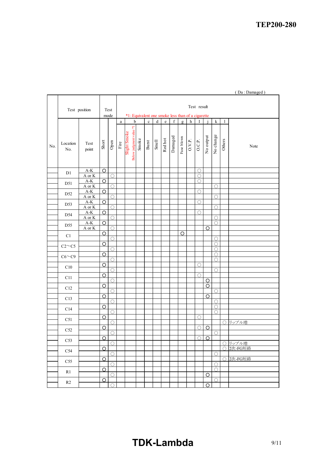|     |                            |                                |                    |                     |                                                   |                                         |       |         |         |         |             |              |                  |            |                |             |        | (Da: Damaged) |
|-----|----------------------------|--------------------------------|--------------------|---------------------|---------------------------------------------------|-----------------------------------------|-------|---------|---------|---------|-------------|--------------|------------------|------------|----------------|-------------|--------|---------------|
|     |                            |                                |                    |                     |                                                   |                                         |       |         |         |         |             |              |                  |            |                |             |        |               |
|     |                            |                                |                    |                     | Test result                                       |                                         |       |         |         |         |             |              |                  |            |                |             |        |               |
|     | Test position              |                                |                    | Test                | *1: Equivalent one smoke less than of a cigarette |                                         |       |         |         |         |             |              |                  |            |                |             |        |               |
|     |                            |                                |                    | mode                | a                                                 | $\mathbf b$                             |       | $\rm c$ | $\rm d$ | $\rm e$ | $\mathbf f$ | $\mathbf{g}$ | $\boldsymbol{h}$ | I          |                | $\mathbf k$ | 1      |               |
|     |                            |                                |                    |                     |                                                   |                                         |       |         |         |         |             |              |                  |            |                |             |        |               |
|     |                            |                                |                    |                     |                                                   |                                         |       |         |         |         |             |              |                  |            |                |             |        |               |
|     |                            |                                |                    |                     |                                                   |                                         |       |         |         |         |             |              |                  |            |                |             |        |               |
| No. | Location                   | Test                           | Short              | ${\rm Open}$        | Fire                                              | Below judgment value *1<br>Slight Smoke | Smoke | Burst   | Smell   | Redhot  | Damaged     | Fuse blown   | O.V.P.           | O.C.P.     | No output      | No change   | Others | Note          |
|     | No.                        | point                          |                    |                     |                                                   |                                         |       |         |         |         |             |              |                  |            |                |             |        |               |
|     |                            |                                |                    |                     |                                                   |                                         |       |         |         |         |             |              |                  |            |                |             |        |               |
|     |                            |                                |                    |                     |                                                   |                                         |       |         |         |         |             |              |                  |            |                |             |        |               |
|     | D1                         | $A-K$                          | $\circ$            |                     |                                                   |                                         |       |         |         |         |             |              |                  | $\bigcirc$ |                |             |        |               |
|     |                            | A or K                         |                    | $\bigcirc$          |                                                   |                                         |       |         |         |         |             |              |                  | $\bigcirc$ |                |             |        |               |
|     | D51                        | $A-K$                          | $\circ$            |                     |                                                   |                                         |       |         |         |         |             |              |                  | ∩          |                |             |        |               |
|     |                            | A or K<br>$A-K$                | $\circ$            | $\bigcirc$          |                                                   |                                         |       |         |         |         |             |              |                  | $\bigcirc$ |                | O           |        |               |
|     | D52                        | A or K                         |                    | O                   |                                                   |                                         |       |         |         |         |             |              |                  |            |                | Ο           |        |               |
|     | D53                        | $A-K$                          | $\overline{\circ}$ |                     |                                                   |                                         |       |         |         |         |             |              |                  | $\bigcirc$ |                |             |        |               |
|     |                            | A or K<br>$A-K$                | $\overline{\circ}$ | $\bigcirc$          |                                                   |                                         |       |         |         |         |             |              |                  |            |                | О           |        |               |
|     | D54                        | A or K                         |                    | $\circlearrowright$ |                                                   |                                         |       |         |         |         |             |              |                  | ∩          |                | $\bigcirc$  |        |               |
|     | D55                        | $\mathbf{A}\text{-}\mathbf{K}$ | O                  |                     |                                                   |                                         |       |         |         |         |             |              |                  |            |                | О           |        |               |
|     |                            | A or K                         |                    | $\bigcirc$          |                                                   |                                         |       |         |         |         |             |              |                  |            | $\circ$        |             |        |               |
|     | $\mathop{\rm C}\nolimits1$ |                                | O                  | $\bigcirc$          |                                                   |                                         |       |         |         |         |             | Ω            |                  |            |                | О           |        |               |
|     |                            |                                | $\circ$            |                     |                                                   |                                         |       |         |         |         |             |              |                  |            |                | ∩           |        |               |
|     | $C2 \sim C5$               |                                |                    | $\circlearrowright$ |                                                   |                                         |       |         |         |         |             |              |                  |            |                | ∩           |        |               |
|     | $C6 \sim C9$               |                                | $\circ$            |                     |                                                   |                                         |       |         |         |         |             |              |                  |            |                | ∩           |        |               |
|     |                            |                                | $\overline{\circ}$ | Ο                   |                                                   |                                         |       |         |         |         |             |              |                  | $\bigcirc$ |                | ∩           |        |               |
|     | $\rm C10$                  |                                |                    | ∩                   |                                                   |                                         |       |         |         |         |             |              |                  |            |                | $\bigcirc$  |        |               |
|     | C11                        |                                | $\overline{O}$     |                     |                                                   |                                         |       |         |         |         |             |              |                  | $\bigcirc$ |                |             |        |               |
|     |                            |                                | O                  | О                   |                                                   |                                         |       |         |         |         |             |              |                  |            | O<br>O         |             |        |               |
|     | C12                        |                                |                    | $\bigcirc$          |                                                   |                                         |       |         |         |         |             |              |                  |            |                | $\bigcirc$  |        |               |
|     | C13                        |                                | $\circ$            |                     |                                                   |                                         |       |         |         |         |             |              |                  |            | O              |             |        |               |
|     |                            |                                |                    | $\bigcirc$          |                                                   |                                         |       |         |         |         |             |              |                  |            |                | 0           |        |               |
|     | C14                        |                                | $\circ$            | О                   |                                                   |                                         |       |         |         |         |             |              |                  |            |                | O<br>О      |        |               |
|     |                            |                                | $\circ$            |                     |                                                   |                                         |       |         |         |         |             |              |                  | O          |                |             |        |               |
|     | C51                        |                                |                    | $\bigcirc$          |                                                   |                                         |       |         |         |         |             |              |                  |            |                |             |        | ○ リップル増       |
|     | $\rm C52$                  |                                | $\overline{O}$     |                     |                                                   |                                         |       |         |         |         |             |              |                  | $\bigcirc$ | $\circ$        |             |        |               |
|     |                            |                                | $\circ$            | $\circ$             |                                                   |                                         |       |         |         |         |             |              |                  | $\bigcirc$ | $\overline{O}$ | $\bigcirc$  |        |               |
|     | $\rm C53$                  |                                |                    | $\bigcirc$          |                                                   |                                         |       |         |         |         |             |              |                  |            |                |             |        | ○ リップル増       |
|     | C54                        |                                | $\circ$            |                     |                                                   |                                         |       |         |         |         |             |              |                  |            |                |             | ∩      | 2次-FG短絡       |
|     |                            |                                |                    | $\bigcirc$          |                                                   |                                         |       |         |         |         |             |              |                  |            |                | $\bigcirc$  |        | ○ 2次-FG短絡     |
|     | C55                        |                                | $\Omega$           | $\circ$             |                                                   |                                         |       |         |         |         |             |              |                  |            |                | $\bigcirc$  |        |               |
|     | R1                         |                                | $\circ$            |                     |                                                   |                                         |       |         |         |         |             |              |                  |            |                | $\bigcirc$  |        |               |
|     |                            |                                |                    | O                   |                                                   |                                         |       |         |         |         |             |              |                  |            | O              |             |        |               |
|     | R2                         |                                | $\overline{\circ}$ | O                   |                                                   |                                         |       |         |         |         |             |              |                  |            | $\circ$        | $\bigcirc$  |        |               |
|     |                            |                                |                    |                     |                                                   |                                         |       |         |         |         |             |              |                  |            |                |             |        |               |

## **TDK-Lambda** 9/11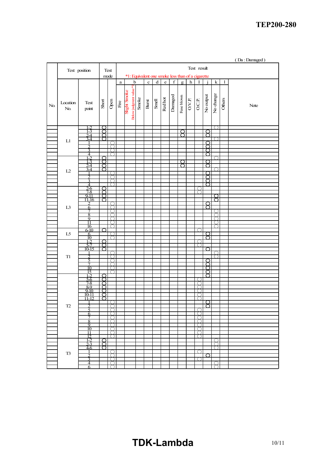|              |                            |                                  |        |                                             |             |              |                        |       |             |                                                   |              |             |            |             |                  |           |           |        | (Da: Damaged) |
|--------------|----------------------------|----------------------------------|--------|---------------------------------------------|-------------|--------------|------------------------|-------|-------------|---------------------------------------------------|--------------|-------------|------------|-------------|------------------|-----------|-----------|--------|---------------|
|              |                            | Test position                    |        | Test                                        |             |              |                        |       |             |                                                   |              |             |            |             | Test result      |           |           |        |               |
|              |                            |                                  |        | mode                                        |             |              |                        |       |             | *1: Equivalent one smoke less than of a cigarette |              |             |            |             |                  |           |           |        |               |
|              |                            |                                  |        |                                             | a           |              | $\mathbf b$            |       | $\mathbf c$ | $\mathbf d$                                       | $\mathbf{e}$ | $\mathbf f$ | g          | $\mathbf h$ | $\bf I$          |           | ${\bf k}$ | 1      |               |
| $\mbox{No.}$ | Location<br>$\mathrm{No.}$ | Test<br>point                    | Short  | Open                                        | $\rm{Fire}$ | Slight Smoke | Below judgment value*! | Smoke | Burst       | Smell                                             | Redhot       | Danaged     | Fuse blown | O.V.P.      | O.C.P.           | No output | No change | Others | Note          |
|              |                            | 1-2<br>$1 - 3$                   | Ω      |                                             |             |              |                        |       |             |                                                   |              |             |            |             |                  |           |           |        |               |
|              |                            | $\overline{24}$                  | 8      |                                             |             |              |                        |       |             |                                                   |              |             | 8          |             |                  | 8         |           |        |               |
|              | ${\rm L}1$                 | 3-4                              | ∩      |                                             |             |              |                        |       |             |                                                   |              |             |            |             |                  | ∩         |           |        |               |
|              |                            | っ                                |        |                                             |             |              |                        |       |             |                                                   |              |             |            |             |                  | ⌒         |           |        |               |
|              |                            | 3<br>$\overline{\mathcal{A}}$    |        |                                             |             |              |                        |       |             |                                                   |              |             |            |             |                  | Ο<br>∩    |           |        |               |
|              |                            | 1-2<br>$1 - 3$                   | O<br>೧ |                                             |             |              |                        |       |             |                                                   |              |             | ⌒          |             |                  | Ω         | C<br>λ    |        |               |
|              |                            | $2 - 4$                          | ⌒      |                                             |             |              |                        |       |             |                                                   |              |             | ∩          |             |                  | ⌒         |           |        |               |
|              | L2                         | $3-4$                            | റ      |                                             |             |              |                        |       |             |                                                   |              |             |            |             |                  | റ         |           |        |               |
|              |                            | 2                                |        |                                             |             |              |                        |       |             |                                                   |              |             |            |             |                  | ∩         |           |        |               |
|              |                            | $\overline{3}$<br>$\overline{4}$ |        |                                             |             |              |                        |       |             |                                                   |              |             |            |             |                  | ⌒<br>O    |           |        |               |
|              |                            |                                  | ◯      |                                             |             |              |                        |       |             |                                                   |              |             |            |             |                  |           |           |        |               |
|              |                            | $\frac{25}{78}$<br>9-11          | ⌒<br>O |                                             |             |              |                        |       |             |                                                   |              |             |            |             | C                |           |           |        |               |
|              |                            | $11-16$<br>$\mathcal{D}$         | O      |                                             |             |              |                        |       |             |                                                   |              |             |            |             |                  | ∩         | ◯         |        |               |
|              | $\mathop{\hbox{\rm L3}}$   | 6                                |        | ╲<br>C                                      |             |              |                        |       |             |                                                   |              |             |            |             |                  | ₫         |           |        |               |
|              |                            | 8                                |        |                                             |             |              |                        |       |             |                                                   |              |             |            |             |                  |           | ( )       |        |               |
|              |                            | 9                                |        |                                             |             |              |                        |       |             |                                                   |              |             |            |             |                  |           |           |        |               |
|              |                            | 11<br>16                         |        |                                             |             |              |                        |       |             |                                                   |              |             |            |             |                  |           |           |        |               |
|              | $L5$                       | $6-10$<br>6                      | ∩      |                                             |             |              |                        |       |             |                                                   |              |             |            |             |                  | O         |           |        |               |
|              |                            | 10                               |        |                                             |             |              |                        |       |             |                                                   |              |             |            |             |                  | ∩         |           |        |               |
|              |                            | $1 - 2$<br>5-7                   | റ<br>ŏ |                                             |             |              |                        |       |             |                                                   |              |             |            |             |                  |           |           |        |               |
|              |                            | 10-15                            | O      |                                             |             |              |                        |       |             |                                                   |              |             |            |             |                  | ◯         |           |        |               |
|              | T1                         | 2                                |        |                                             |             |              |                        |       |             |                                                   |              |             |            |             |                  |           | ∩<br>∩    |        |               |
|              |                            | 5<br>7                           |        |                                             |             |              |                        |       |             |                                                   |              |             |            |             |                  | ∩<br>◠    |           |        |               |
|              |                            | 10                               |        |                                             |             |              |                        |       |             |                                                   |              |             |            |             |                  |           |           |        |               |
|              |                            | 15<br>$1 - 2$                    | C      | $\left(\begin{array}{c} \end{array}\right)$ |             |              |                        |       |             |                                                   |              |             |            |             |                  | ∩<br>◯    |           |        |               |
|              |                            | $\frac{5-6}{7-8}$                | 8      |                                             |             |              |                        |       |             |                                                   |              |             |            |             |                  |           |           |        |               |
|              |                            | $8-9$                            | ∩      |                                             |             |              |                        |       |             |                                                   |              |             |            |             |                  |           |           |        |               |
|              |                            | $\frac{9-10}{10-11}$             | ⌒<br>Ō |                                             |             |              |                        |       |             |                                                   |              |             |            |             |                  |           |           |        |               |
|              |                            | $11 - 12$                        | O      |                                             |             |              |                        |       |             |                                                   |              |             |            |             |                  |           |           |        |               |
|              | $\ensuremath{\text{T2}}$   | $\overline{c}$                   |        | ┐<br>C                                      |             |              |                        |       |             |                                                   |              |             |            |             |                  | ਨ         |           |        |               |
|              |                            | 5                                |        |                                             |             |              |                        |       |             |                                                   |              |             |            |             |                  |           |           |        |               |
|              |                            | 6<br>7                           |        |                                             |             |              |                        |       |             |                                                   |              |             |            |             | (                |           |           |        |               |
|              |                            | 8<br>9                           |        |                                             |             |              |                        |       |             |                                                   |              |             |            |             |                  |           |           |        |               |
|              |                            | 10                               |        |                                             |             |              |                        |       |             |                                                   |              |             |            |             |                  |           |           |        |               |
|              |                            | 11<br>12                         |        | ∋                                           |             |              |                        |       |             |                                                   |              |             |            |             | C                |           |           |        |               |
|              |                            | 1-2<br>$2\overline{3}$           | ∩      |                                             |             |              |                        |       |             |                                                   |              |             |            |             |                  |           |           |        |               |
|              |                            | 46                               | ঠ      |                                             |             |              |                        |       |             |                                                   |              |             |            |             |                  |           |           |        |               |
|              | $\ensuremath{\mathsf{T3}}$ | $\overline{2}$                   |        | C<br>◝<br>$\bigcirc$                        |             |              |                        |       |             |                                                   |              |             |            |             | $\left( \right)$ | O         |           |        |               |
|              |                            | 3                                |        | ∩                                           |             |              |                        |       |             |                                                   |              |             |            |             |                  |           |           |        |               |
|              |                            | 4<br>6                           |        | C<br>◝<br>╲<br>C                            |             |              |                        |       |             |                                                   |              |             |            |             |                  |           | ℩         |        |               |